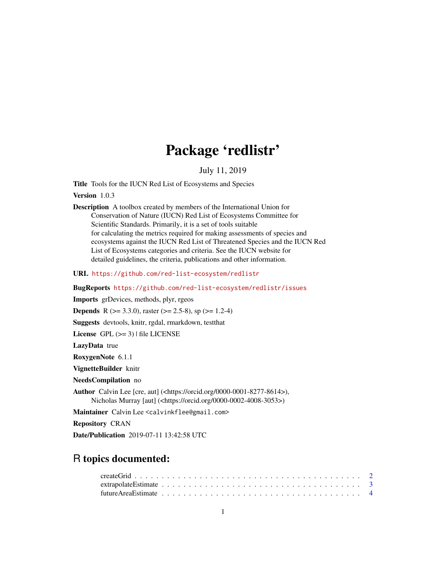# Package 'redlistr'

# July 11, 2019

Title Tools for the IUCN Red List of Ecosystems and Species

Version 1.0.3

Description A toolbox created by members of the International Union for Conservation of Nature (IUCN) Red List of Ecosystems Committee for Scientific Standards. Primarily, it is a set of tools suitable for calculating the metrics required for making assessments of species and ecosystems against the IUCN Red List of Threatened Species and the IUCN Red List of Ecosystems categories and criteria. See the IUCN website for detailed guidelines, the criteria, publications and other information.

URL <https://github.com/red-list-ecosystem/redlistr>

BugReports <https://github.com/red-list-ecosystem/redlistr/issues>

Imports grDevices, methods, plyr, rgeos

**Depends** R ( $>= 3.3.0$ ), raster ( $>= 2.5-8$ ), sp ( $>= 1.2-4$ )

Suggests devtools, knitr, rgdal, rmarkdown, testthat

License GPL  $(>= 3)$  | file LICENSE

LazyData true

RoxygenNote 6.1.1

VignetteBuilder knitr

NeedsCompilation no

Author Calvin Lee [cre, aut] (<https://orcid.org/0000-0001-8277-8614>), Nicholas Murray [aut] (<https://orcid.org/0000-0002-4008-3053>)

Maintainer Calvin Lee <calvinkflee@gmail.com>

Repository CRAN

Date/Publication 2019-07-11 13:42:58 UTC

# R topics documented: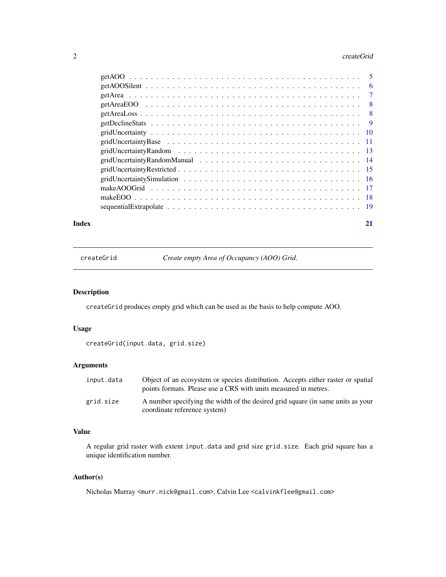#### <span id="page-1-0"></span> $2 \,$  createGrid

|       | make AOOGrid $\ldots \ldots \ldots \ldots \ldots \ldots \ldots \ldots \ldots \ldots \ldots \ldots \ldots$ |    |
|-------|-----------------------------------------------------------------------------------------------------------|----|
|       |                                                                                                           |    |
|       |                                                                                                           |    |
| Index |                                                                                                           | 21 |

<span id="page-1-1"></span>createGrid *Create empty Area of Occupancy (AOO) Grid.*

# Description

createGrid produces empty grid which can be used as the basis to help compute AOO.

# Usage

createGrid(input.data, grid.size)

# Arguments

| input.data | Object of an ecosystem or species distribution. Accepts either raster or spatial<br>points formats. Please use a CRS with units measured in metres. |
|------------|-----------------------------------------------------------------------------------------------------------------------------------------------------|
| grid.size  | A number specifying the width of the desired grid square (in same units as your<br>coordinate reference system)                                     |

# Value

A regular grid raster with extent input.data and grid size grid.size. Each grid square has a unique identification number.

# Author(s)

Nicholas Murray <murr.nick@gmail.com>, Calvin Lee <calvinkflee@gmail.com>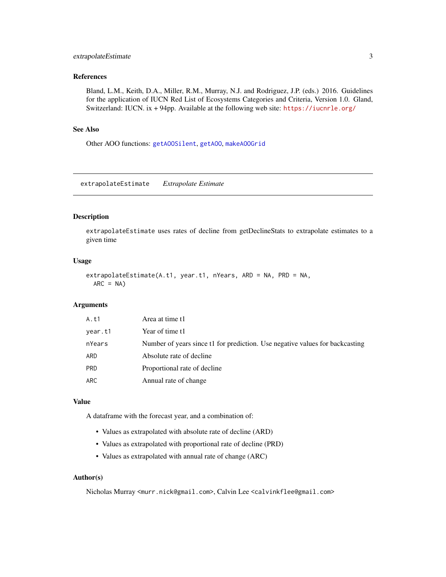# <span id="page-2-0"></span>extrapolateEstimate 3

# References

Bland, L.M., Keith, D.A., Miller, R.M., Murray, N.J. and Rodriguez, J.P. (eds.) 2016. Guidelines for the application of IUCN Red List of Ecosystems Categories and Criteria, Version 1.0. Gland, Switzerland: IUCN. ix + 94pp. Available at the following web site: <https://iucnrle.org/>

# See Also

Other AOO functions: [getAOOSilent](#page-5-1), [getAOO](#page-4-1), [makeAOOGrid](#page-16-1)

<span id="page-2-1"></span>extrapolateEstimate *Extrapolate Estimate*

# Description

extrapolateEstimate uses rates of decline from getDeclineStats to extrapolate estimates to a given time

# Usage

```
extrapolateEstimate(A.t1, year.t1, nYears, ARD = NA, PRD = NA,
  ARC = NA)
```
# Arguments

| A.t1       | Area at time t1                                                              |
|------------|------------------------------------------------------------------------------|
| year.t1    | Year of time t1                                                              |
| nYears     | Number of years since t1 for prediction. Use negative values for backcasting |
| ARD        | Absolute rate of decline                                                     |
| <b>PRD</b> | Proportional rate of decline                                                 |
| <b>ARC</b> | Annual rate of change                                                        |

#### Value

A dataframe with the forecast year, and a combination of:

- Values as extrapolated with absolute rate of decline (ARD)
- Values as extrapolated with proportional rate of decline (PRD)
- Values as extrapolated with annual rate of change (ARC)

# Author(s)

Nicholas Murray <murr.nick@gmail.com>, Calvin Lee <calvinkflee@gmail.com>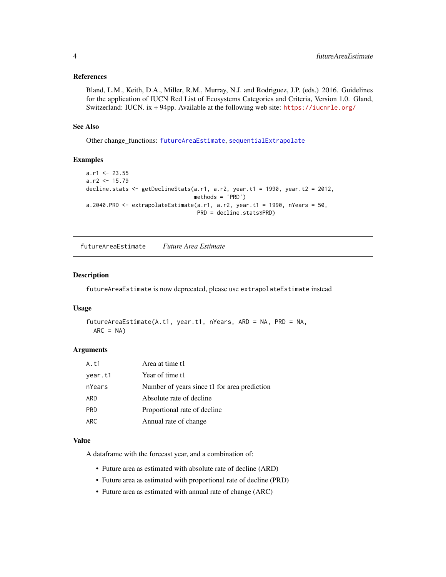# <span id="page-3-0"></span>References

Bland, L.M., Keith, D.A., Miller, R.M., Murray, N.J. and Rodriguez, J.P. (eds.) 2016. Guidelines for the application of IUCN Red List of Ecosystems Categories and Criteria, Version 1.0. Gland, Switzerland: IUCN. ix + 94pp. Available at the following web site: <https://iucnrle.org/>

#### See Also

Other change\_functions: [futureAreaEstimate](#page-3-1), [sequentialExtrapolate](#page-18-1)

# Examples

```
a.r1 < -23.55a.r2 < -15.79decline.stats <- getDeclineStats(a.r1, a.r2, year.t1 = 1990, year.t2 = 2012,
                                 methods = 'PRD')
a.2040.PRD \leq extrapolateEstimate(a.r1, a.r2, year.t1 = 1990, nYears = 50,
                                  PRD = decline.stats$PRD)
```
<span id="page-3-1"></span>futureAreaEstimate *Future Area Estimate*

# Description

futureAreaEstimate is now deprecated, please use extrapolateEstimate instead

# Usage

```
futureAreaEstimate(A.t1, year.t1, nYears, ARD = NA, PRD = NA,
 ARC = NA)
```
# Arguments

| A.t1       | Area at time t1                              |
|------------|----------------------------------------------|
| year.t1    | Year of time t1                              |
| nYears     | Number of years since t1 for area prediction |
| ARD        | Absolute rate of decline                     |
| <b>PRD</b> | Proportional rate of decline                 |
| ARC        | Annual rate of change                        |

# Value

A dataframe with the forecast year, and a combination of:

- Future area as estimated with absolute rate of decline (ARD)
- Future area as estimated with proportional rate of decline (PRD)
- Future area as estimated with annual rate of change (ARC)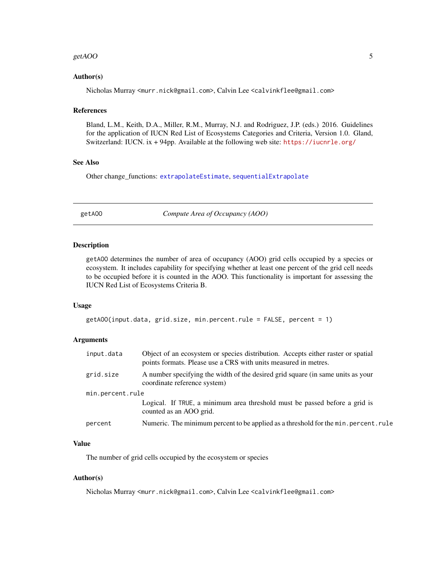#### <span id="page-4-0"></span>getAOO 5

# Author(s)

Nicholas Murray <murr.nick@gmail.com>, Calvin Lee <calvinkflee@gmail.com>

#### References

Bland, L.M., Keith, D.A., Miller, R.M., Murray, N.J. and Rodriguez, J.P. (eds.) 2016. Guidelines for the application of IUCN Red List of Ecosystems Categories and Criteria, Version 1.0. Gland, Switzerland: IUCN.  $ix + 94$ pp. Available at the following web site: <https://iucnrle.org/>

# See Also

Other change\_functions: [extrapolateEstimate](#page-2-1), [sequentialExtrapolate](#page-18-1)

<span id="page-4-1"></span>getAOO *Compute Area of Occupancy (AOO)*

# Description

getAOO determines the number of area of occupancy (AOO) grid cells occupied by a species or ecosystem. It includes capability for specifying whether at least one percent of the grid cell needs to be occupied before it is counted in the AOO. This functionality is important for assessing the IUCN Red List of Ecosystems Criteria B.

#### Usage

```
getAOO(input.data, grid.size, min.percent.rule = FALSE, percent = 1)
```
# Arguments

| input.data       | Object of an ecosystem or species distribution. Accepts either raster or spatial<br>points formats. Please use a CRS with units measured in metres. |  |  |  |  |
|------------------|-----------------------------------------------------------------------------------------------------------------------------------------------------|--|--|--|--|
| grid.size        | A number specifying the width of the desired grid square (in same units as your<br>coordinate reference system)                                     |  |  |  |  |
| min.percent.rule |                                                                                                                                                     |  |  |  |  |
|                  | Logical. If TRUE, a minimum area threshold must be passed before a grid is<br>counted as an AOO grid.                                               |  |  |  |  |
| percent          | Numeric. The minimum percent to be applied as a threshold for the min. percent. rule                                                                |  |  |  |  |

# Value

The number of grid cells occupied by the ecosystem or species

#### Author(s)

Nicholas Murray <murr.nick@gmail.com>, Calvin Lee <calvinkflee@gmail.com>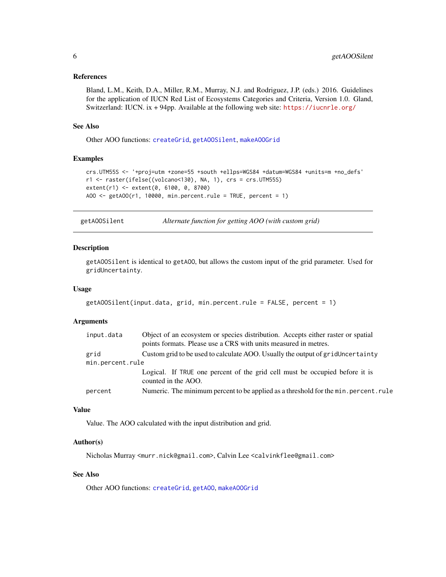#### <span id="page-5-0"></span>References

Bland, L.M., Keith, D.A., Miller, R.M., Murray, N.J. and Rodriguez, J.P. (eds.) 2016. Guidelines for the application of IUCN Red List of Ecosystems Categories and Criteria, Version 1.0. Gland, Switzerland: IUCN. ix + 94pp. Available at the following web site: <https://iucnrle.org/>

#### See Also

Other AOO functions: [createGrid](#page-1-1), [getAOOSilent](#page-5-1), [makeAOOGrid](#page-16-1)

# Examples

```
crs.UTM55S <- '+proj=utm +zone=55 +south +ellps=WGS84 +datum=WGS84 +units=m +no_defs'
r1 <- raster(ifelse((volcano<130), NA, 1), crs = crs.UTM55S)
extent(r1) <- extent(0, 6100, 0, 8700)
AOO \le getAOO(r1, 10000, min.percent.rule = TRUE, percent = 1)
```
<span id="page-5-1"></span>getAOOSilent *Alternate function for getting AOO (with custom grid)*

#### Description

getAOOSilent is identical to getAOO, but allows the custom input of the grid parameter. Used for gridUncertainty.

#### Usage

```
getAOOSilent(input.data, grid, min.percent.rule = FALSE, percent = 1)
```
# Arguments

| input.data       | Object of an ecosystem or species distribution. Accepts either raster or spatial<br>points formats. Please use a CRS with units measured in metres. |
|------------------|-----------------------------------------------------------------------------------------------------------------------------------------------------|
| grid             | Custom grid to be used to calculate AOO. Usually the output of gridUncertainty                                                                      |
| min.percent.rule |                                                                                                                                                     |
|                  | Logical. If TRUE one percent of the grid cell must be occupied before it is<br>counted in the AOO.                                                  |
| percent          | Numeric. The minimum percent to be applied as a threshold for the min. percent. rule                                                                |

#### Value

Value. The AOO calculated with the input distribution and grid.

#### Author(s)

Nicholas Murray <murr.nick@gmail.com>, Calvin Lee <calvinkflee@gmail.com>

#### See Also

Other AOO functions: [createGrid](#page-1-1), [getAOO](#page-4-1), [makeAOOGrid](#page-16-1)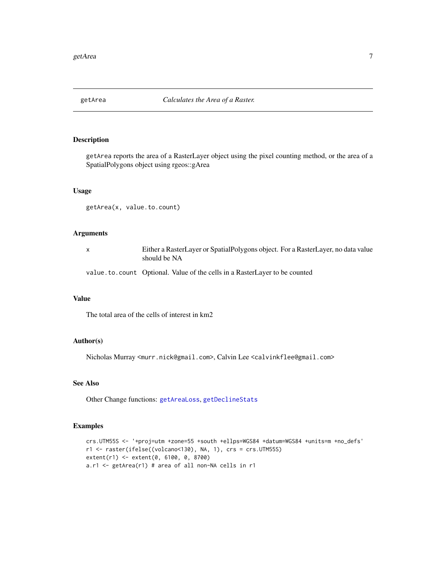<span id="page-6-1"></span><span id="page-6-0"></span>

# Description

getArea reports the area of a RasterLayer object using the pixel counting method, or the area of a SpatialPolygons object using rgeos::gArea

# Usage

getArea(x, value.to.count)

# Arguments

| Either a RasterLayer or SpatialPolygons object. For a RasterLayer, no data value |
|----------------------------------------------------------------------------------|
| should be NA                                                                     |

value.to.count Optional. Value of the cells in a RasterLayer to be counted

#### Value

The total area of the cells of interest in km2

# Author(s)

Nicholas Murray <murr.nick@gmail.com>, Calvin Lee <calvinkflee@gmail.com>

# See Also

Other Change functions: [getAreaLoss](#page-7-1), [getDeclineStats](#page-8-1)

# Examples

```
crs.UTM55S <- '+proj=utm +zone=55 +south +ellps=WGS84 +datum=WGS84 +units=m +no_defs'
r1 <- raster(ifelse((volcano<130), NA, 1), crs = crs.UTM55S)
extent(r1) <- extent(0, 6100, 0, 8700)
a.r1 <- getArea(r1) # area of all non-NA cells in r1
```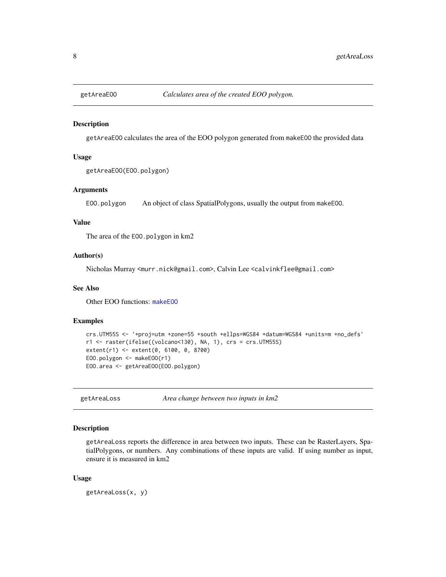<span id="page-7-2"></span><span id="page-7-0"></span>

#### Description

getAreaEOO calculates the area of the EOO polygon generated from makeEOO the provided data

### Usage

```
getAreaEOO(EOO.polygon)
```
# Arguments

EOO.polygon An object of class SpatialPolygons, usually the output from makeEOO.

#### Value

The area of the EOO.polygon in km2

# Author(s)

Nicholas Murray <murr.nick@gmail.com>, Calvin Lee <calvinkflee@gmail.com>

#### See Also

Other EOO functions: [makeEOO](#page-17-1)

#### Examples

```
crs.UTM55S <- '+proj=utm +zone=55 +south +ellps=WGS84 +datum=WGS84 +units=m +no_defs'
r1 <- raster(ifelse((volcano<130), NA, 1), crs = crs.UTM55S)
extent(r1) <- extent(0, 6100, 0, 8700)
EOO.polygon <- makeEOO(r1)
EOO.area <- getAreaEOO(EOO.polygon)
```
<span id="page-7-1"></span>getAreaLoss *Area change between two inputs in km2*

# Description

getAreaLoss reports the difference in area between two inputs. These can be RasterLayers, SpatialPolygons, or numbers. Any combinations of these inputs are valid. If using number as input, ensure it is measured in km2

#### Usage

getAreaLoss(x, y)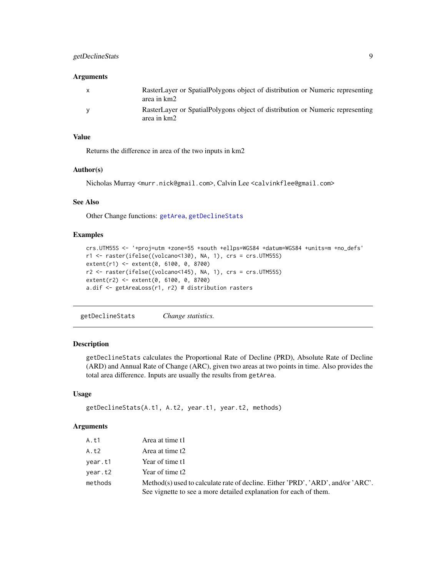# <span id="page-8-0"></span>getDeclineStats 9

#### **Arguments**

| RasterLayer or SpatialPolygons object of distribution or Numeric representing<br>area in km2 |
|----------------------------------------------------------------------------------------------|
| RasterLayer or SpatialPolygons object of distribution or Numeric representing<br>area in km2 |

# Value

Returns the difference in area of the two inputs in km2

#### Author(s)

Nicholas Murray <murr.nick@gmail.com>, Calvin Lee <calvinkflee@gmail.com>

# See Also

Other Change functions: [getArea](#page-6-1), [getDeclineStats](#page-8-1)

# Examples

```
crs.UTM55S <- '+proj=utm +zone=55 +south +ellps=WGS84 +datum=WGS84 +units=m +no_defs'
r1 <- raster(ifelse((volcano<130), NA, 1), crs = crs.UTM55S)
extent(r1) <- extent(0, 6100, 0, 8700)
r2 <- raster(ifelse((volcano<145), NA, 1), crs = crs.UTM55S)
extent(r2) <- extent(0, 6100, 0, 8700)
a.dif <- getAreaLoss(r1, r2) # distribution rasters
```
<span id="page-8-1"></span>getDeclineStats *Change statistics.*

# Description

getDeclineStats calculates the Proportional Rate of Decline (PRD), Absolute Rate of Decline (ARD) and Annual Rate of Change (ARC), given two areas at two points in time. Also provides the total area difference. Inputs are usually the results from getArea.

#### Usage

```
getDeclineStats(A.t1, A.t2, year.t1, year.t2, methods)
```

| A.t1    | Area at time t1                                                                                                                                      |
|---------|------------------------------------------------------------------------------------------------------------------------------------------------------|
| A.t2    | Area at time t2                                                                                                                                      |
| year.t1 | Year of time t1                                                                                                                                      |
| year.t2 | Year of time t2                                                                                                                                      |
| methods | Method(s) used to calculate rate of decline. Either 'PRD', 'ARD', and/or 'ARC'.<br>See vignette to see a more detailed explanation for each of them. |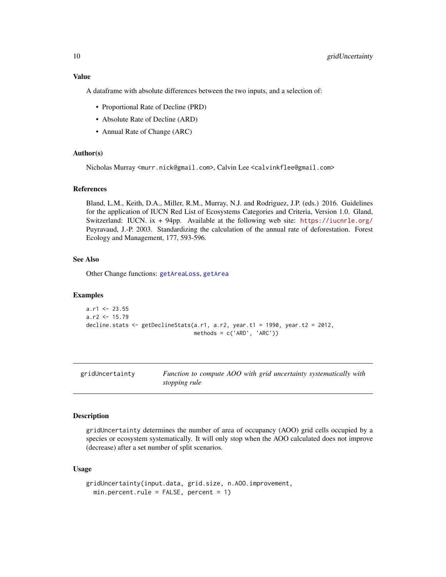# <span id="page-9-0"></span>Value

A dataframe with absolute differences between the two inputs, and a selection of:

- Proportional Rate of Decline (PRD)
- Absolute Rate of Decline (ARD)
- Annual Rate of Change (ARC)

#### Author(s)

Nicholas Murray <murr.nick@gmail.com>, Calvin Lee <calvinkflee@gmail.com>

# References

Bland, L.M., Keith, D.A., Miller, R.M., Murray, N.J. and Rodriguez, J.P. (eds.) 2016. Guidelines for the application of IUCN Red List of Ecosystems Categories and Criteria, Version 1.0. Gland, Switzerland: IUCN. ix + 94pp. Available at the following web site: <https://iucnrle.org/> Puyravaud, J.-P. 2003. Standardizing the calculation of the annual rate of deforestation. Forest Ecology and Management, 177, 593-596.

# See Also

Other Change functions: [getAreaLoss](#page-7-1), [getArea](#page-6-1)

#### Examples

```
a.r1 < -23.55a.r2 < -15.79decline.stats <- getDeclineStats(a.r1, a.r2, year.t1 = 1990, year.t2 = 2012,
                                methods = c('ARD', 'ARC'))
```
<span id="page-9-1"></span>gridUncertainty *Function to compute AOO with grid uncertainty systematically with stopping rule*

#### Description

gridUncertainty determines the number of area of occupancy (AOO) grid cells occupied by a species or ecosystem systematically. It will only stop when the AOO calculated does not improve (decrease) after a set number of split scenarios.

#### Usage

```
gridUncertainty(input.data, grid.size, n.AOO.improvement,
 min.percent. rule = FALSE, percent = 1)
```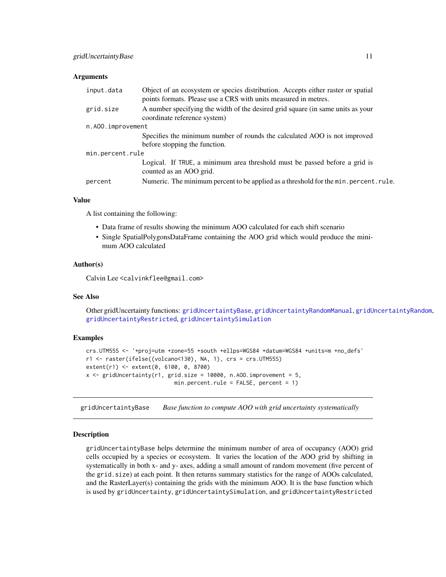## <span id="page-10-0"></span>**Arguments**

| input.data        | Object of an ecosystem or species distribution. Accepts either raster or spatial<br>points formats. Please use a CRS with units measured in metres. |  |  |  |  |
|-------------------|-----------------------------------------------------------------------------------------------------------------------------------------------------|--|--|--|--|
| grid.size         | A number specifying the width of the desired grid square (in same units as your<br>coordinate reference system)                                     |  |  |  |  |
| n.A00.improvement |                                                                                                                                                     |  |  |  |  |
|                   | Specifies the minimum number of rounds the calculated AOO is not improved<br>before stopping the function.                                          |  |  |  |  |
| min.percent.rule  |                                                                                                                                                     |  |  |  |  |
|                   | Logical. If TRUE, a minimum area threshold must be passed before a grid is<br>counted as an AOO grid.                                               |  |  |  |  |
| percent           | Numeric. The minimum percent to be applied as a threshold for the min. percent. rule.                                                               |  |  |  |  |

# Value

A list containing the following:

- Data frame of results showing the minimum AOO calculated for each shift scenario
- Single SpatialPolygonsDataFrame containing the AOO grid which would produce the minimum AOO calculated

#### Author(s)

Calvin Lee <calvinkflee@gmail.com>

# See Also

Other gridUncertainty functions: [gridUncertaintyBase](#page-10-1), [gridUncertaintyRandomManual](#page-13-1), [gridUncertaintyRandom](#page-12-1), [gridUncertaintyRestricted](#page-14-1), [gridUncertaintySimulation](#page-15-1)

# Examples

```
crs.UTM55S <- '+proj=utm +zone=55 +south +ellps=WGS84 +datum=WGS84 +units=m +no_defs'
r1 <- raster(ifelse((volcano<130), NA, 1), crs = crs.UTM55S)
extent(r1) <- extent(0, 6100, 0, 8700)
x \le gridUncertainty(r1, grid.size = 10000, n.AOO.improvement = 5,
                           min.percent.rule = FALSE, percent = 1)
```
<span id="page-10-1"></span>gridUncertaintyBase *Base function to compute AOO with grid uncertainty systematically*

#### Description

gridUncertaintyBase helps determine the minimum number of area of occupancy (AOO) grid cells occupied by a species or ecosystem. It varies the location of the AOO grid by shifting in systematically in both x- and y- axes, adding a small amount of random movement (five percent of the grid.size) at each point. It then returns summary statistics for the range of AOOs calculated, and the RasterLayer(s) containing the grids with the minimum AOO. It is the base function which is used by gridUncertainty, gridUncertaintySimulation, and gridUncertaintyRestricted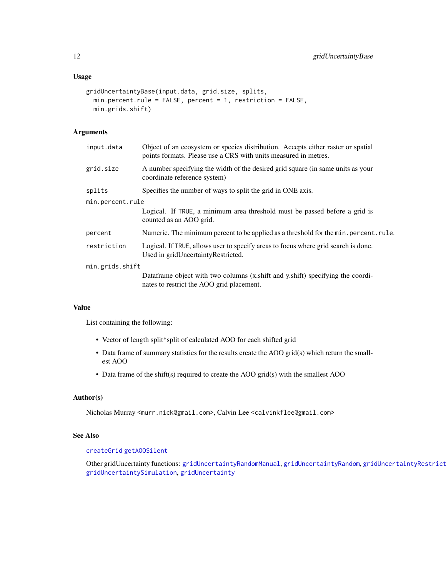# <span id="page-11-0"></span>Usage

```
gridUncertaintyBase(input.data, grid.size, splits,
 min.percent.rule = FALSE, percent = 1, restriction = FALSE,
 min.grids.shift)
```
# Arguments

| input.data       | Object of an ecosystem or species distribution. Accepts either raster or spatial<br>points formats. Please use a CRS with units measured in metres. |
|------------------|-----------------------------------------------------------------------------------------------------------------------------------------------------|
| grid.size        | A number specifying the width of the desired grid square (in same units as your<br>coordinate reference system)                                     |
| splits           | Specifies the number of ways to split the grid in ONE axis.                                                                                         |
| min.percent.rule |                                                                                                                                                     |
|                  | Logical. If TRUE, a minimum area threshold must be passed before a grid is<br>counted as an AOO grid.                                               |
| percent          | Numeric. The minimum percent to be applied as a threshold for the min. percent. rule.                                                               |
| restriction      | Logical. If TRUE, allows user to specify areas to focus where grid search is done.<br>Used in gridUncertaintyRestricted.                            |
| min.grids.shift  |                                                                                                                                                     |
|                  | Dataframe object with two columns (x shift and y shift) specifying the coordi-<br>nates to restrict the AOO grid placement.                         |

#### Value

List containing the following:

- Vector of length split\*split of calculated AOO for each shifted grid
- Data frame of summary statistics for the results create the AOO grid(s) which return the smallest AOO
- Data frame of the shift(s) required to create the AOO grid(s) with the smallest AOO

# Author(s)

Nicholas Murray <murr.nick@gmail.com>, Calvin Lee <calvinkflee@gmail.com>

# See Also

# [createGrid](#page-1-1) [getAOOSilent](#page-5-1)

Other gridUncertainty functions: [gridUncertaintyRandomManual](#page-13-1), [gridUncertaintyRandom](#page-12-1), gridUncertaintyRestrict [gridUncertaintySimulation](#page-15-1), [gridUncertainty](#page-9-1)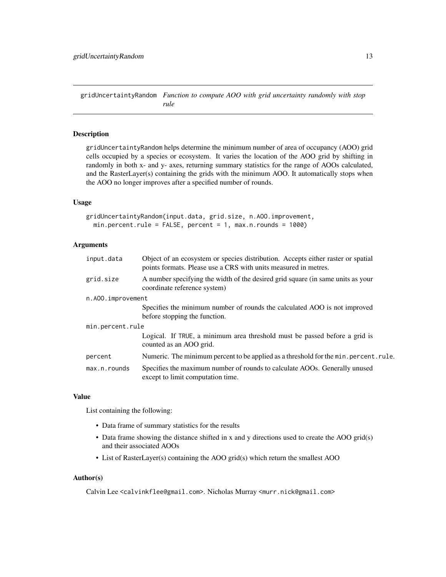<span id="page-12-1"></span><span id="page-12-0"></span>gridUncertaintyRandom *Function to compute AOO with grid uncertainty randomly with stop rule*

#### Description

gridUncertaintyRandom helps determine the minimum number of area of occupancy (AOO) grid cells occupied by a species or ecosystem. It varies the location of the AOO grid by shifting in randomly in both x- and y- axes, returning summary statistics for the range of AOOs calculated, and the RasterLayer(s) containing the grids with the minimum AOO. It automatically stops when the AOO no longer improves after a specified number of rounds.

#### Usage

gridUncertaintyRandom(input.data, grid.size, n.AOO.improvement, min.percent.rule = FALSE, percent = 1, max.n.rounds = 1000)

# Arguments

| input.data        | Object of an ecosystem or species distribution. Accepts either raster or spatial<br>points formats. Please use a CRS with units measured in metres. |
|-------------------|-----------------------------------------------------------------------------------------------------------------------------------------------------|
| grid.size         | A number specifying the width of the desired grid square (in same units as your<br>coordinate reference system)                                     |
| n.A00.improvement |                                                                                                                                                     |
|                   | Specifies the minimum number of rounds the calculated AOO is not improved<br>before stopping the function.                                          |
| min.percent.rule  |                                                                                                                                                     |
|                   | Logical. If TRUE, a minimum area threshold must be passed before a grid is<br>counted as an AOO grid.                                               |
| percent           | Numeric. The minimum percent to be applied as a threshold for the min. percent. rule.                                                               |
| $max.n.$ rounds   | Specifies the maximum number of rounds to calculate AOOs. Generally unused<br>except to limit computation time.                                     |

#### Value

List containing the following:

- Data frame of summary statistics for the results
- Data frame showing the distance shifted in x and y directions used to create the AOO grid(s) and their associated AOOs
- List of RasterLayer(s) containing the AOO grid(s) which return the smallest AOO

# Author(s)

Calvin Lee <calvinkflee@gmail.com>. Nicholas Murray <murr.nick@gmail.com>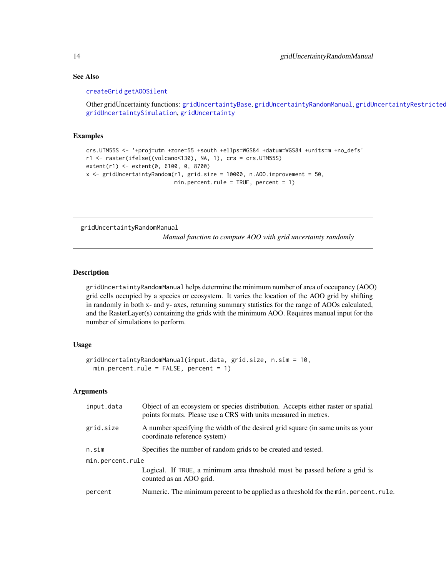# See Also

#### [createGrid](#page-1-1) [getAOOSilent](#page-5-1)

Other gridUncertainty functions: [gridUncertaintyBase](#page-10-1), [gridUncertaintyRandomManual](#page-13-1), [gridUncertaintyRestricted](#page-14-1) [gridUncertaintySimulation](#page-15-1), [gridUncertainty](#page-9-1)

# Examples

```
crs.UTM55S <- '+proj=utm +zone=55 +south +ellps=WGS84 +datum=WGS84 +units=m +no_defs'
r1 <- raster(ifelse((volcano<130), NA, 1), crs = crs.UTM55S)
extent(r1) <- extent(0, 6100, 0, 8700)
x <- gridUncertaintyRandom(r1, grid.size = 10000, n.AOO.improvement = 50,
                           min.percent.rule = TRUE, percent = 1)
```
<span id="page-13-1"></span>gridUncertaintyRandomManual

*Manual function to compute AOO with grid uncertainty randomly*

# Description

gridUncertaintyRandomManual helps determine the minimum number of area of occupancy (AOO) grid cells occupied by a species or ecosystem. It varies the location of the AOO grid by shifting in randomly in both x- and y- axes, returning summary statistics for the range of AOOs calculated, and the RasterLayer(s) containing the grids with the minimum AOO. Requires manual input for the number of simulations to perform.

# Usage

```
gridUncertaintyRandomManual(input.data, grid.size, n.sim = 10,
  min.percent. rule = FALSE, percent = 1)
```

| input.data       | Object of an ecosystem or species distribution. Accepts either raster or spatial<br>points formats. Please use a CRS with units measured in metres. |
|------------------|-----------------------------------------------------------------------------------------------------------------------------------------------------|
| grid.size        | A number specifying the width of the desired grid square (in same units as your<br>coordinate reference system)                                     |
| n.sim            | Specifies the number of random grids to be created and tested.                                                                                      |
| min.percent.rule |                                                                                                                                                     |
|                  | Logical. If TRUE, a minimum area threshold must be passed before a grid is<br>counted as an AOO grid.                                               |
| percent          | Numeric. The minimum percent to be applied as a threshold for the min. percent. rule.                                                               |
|                  |                                                                                                                                                     |

<span id="page-13-0"></span>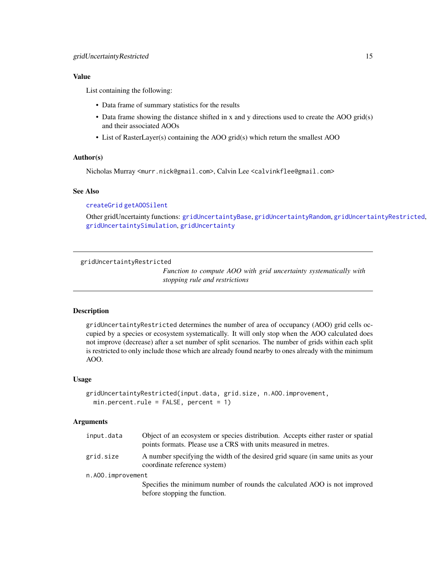# <span id="page-14-0"></span>Value

List containing the following:

- Data frame of summary statistics for the results
- Data frame showing the distance shifted in x and y directions used to create the AOO grid(s) and their associated AOOs
- List of RasterLayer(s) containing the AOO grid(s) which return the smallest AOO

# Author(s)

Nicholas Murray <murr.nick@gmail.com>, Calvin Lee <calvinkflee@gmail.com>

# See Also

[createGrid](#page-1-1) [getAOOSilent](#page-5-1)

Other gridUncertainty functions: [gridUncertaintyBase](#page-10-1), [gridUncertaintyRandom](#page-12-1), [gridUncertaintyRestricted](#page-14-1), [gridUncertaintySimulation](#page-15-1), [gridUncertainty](#page-9-1)

<span id="page-14-1"></span>gridUncertaintyRestricted

*Function to compute AOO with grid uncertainty systematically with stopping rule and restrictions*

## Description

gridUncertaintyRestricted determines the number of area of occupancy (AOO) grid cells occupied by a species or ecosystem systematically. It will only stop when the AOO calculated does not improve (decrease) after a set number of split scenarios. The number of grids within each split is restricted to only include those which are already found nearby to ones already with the minimum AOO.

#### Usage

```
gridUncertaintyRestricted(input.data, grid.size, n.AOO.improvement,
 min.percent. rule = FALSE, percent = 1)
```

| input.data        | Object of an ecosystem or species distribution. Accepts either raster or spatial<br>points formats. Please use a CRS with units measured in metres. |
|-------------------|-----------------------------------------------------------------------------------------------------------------------------------------------------|
| grid.size         | A number specifying the width of the desired grid square (in same units as your<br>coordinate reference system)                                     |
| n.AOO.improvement |                                                                                                                                                     |
|                   | Specifies the minimum number of rounds the calculated AOO is not improved<br>before stopping the function.                                          |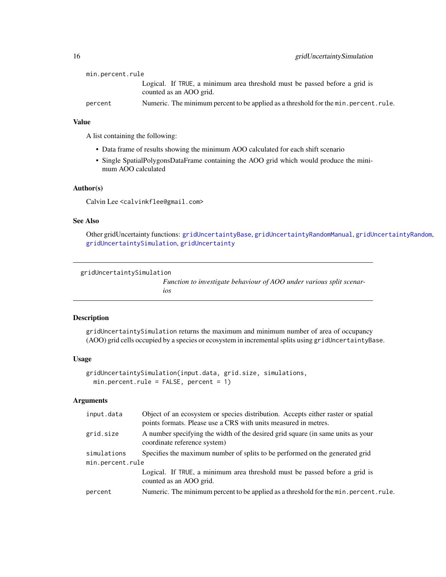<span id="page-15-0"></span>

| min.percent.rule |                                                                                       |
|------------------|---------------------------------------------------------------------------------------|
|                  | Logical. If TRUE, a minimum area threshold must be passed before a grid is            |
|                  | counted as an AOO grid.                                                               |
| percent          | Numeric. The minimum percent to be applied as a threshold for the min. percent. rule. |

# Value

A list containing the following:

- Data frame of results showing the minimum AOO calculated for each shift scenario
- Single SpatialPolygonsDataFrame containing the AOO grid which would produce the minimum AOO calculated

#### Author(s)

Calvin Lee <calvinkflee@gmail.com>

# See Also

Other gridUncertainty functions: [gridUncertaintyBase](#page-10-1), [gridUncertaintyRandomManual](#page-13-1), [gridUncertaintyRandom](#page-12-1), [gridUncertaintySimulation](#page-15-1), [gridUncertainty](#page-9-1)

```
gridUncertaintySimulation
```
*Function to investigate behaviour of AOO under various split scenarios*

# Description

gridUncertaintySimulation returns the maximum and minimum number of area of occupancy (AOO) grid cells occupied by a species or ecosystem in incremental splits using gridUncertaintyBase.

#### Usage

```
gridUncertaintySimulation(input.data, grid.size, simulations,
 min.percent.rule = FALSE, percent = 1)
```

| input.data       | Object of an ecosystem or species distribution. Accepts either raster or spatial<br>points formats. Please use a CRS with units measured in metres. |
|------------------|-----------------------------------------------------------------------------------------------------------------------------------------------------|
| grid.size        | A number specifying the width of the desired grid square (in same units as your<br>coordinate reference system)                                     |
| simulations      | Specifies the maximum number of splits to be performed on the generated grid                                                                        |
| min.percent.rule |                                                                                                                                                     |
|                  | Logical. If TRUE, a minimum area threshold must be passed before a grid is<br>counted as an AOO grid.                                               |
| percent          | Numeric. The minimum percent to be applied as a threshold for the min. percent. rule.                                                               |
|                  |                                                                                                                                                     |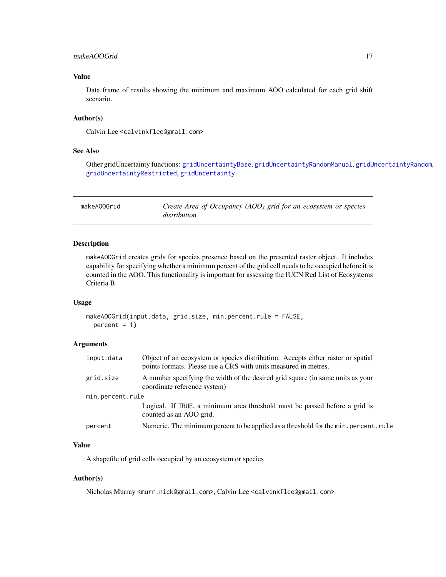# <span id="page-16-0"></span>makeAOOGrid 17

# Value

Data frame of results showing the minimum and maximum AOO calculated for each grid shift scenario.

# Author(s)

Calvin Lee <calvinkflee@gmail.com>

#### See Also

Other gridUncertainty functions: [gridUncertaintyBase](#page-10-1), [gridUncertaintyRandomManual](#page-13-1), [gridUncertaintyRandom](#page-12-1), [gridUncertaintyRestricted](#page-14-1), [gridUncertainty](#page-9-1)

<span id="page-16-1"></span>

| makeAOOGrid | Create Area of Occupancy (AOO) grid for an ecosystem or species |
|-------------|-----------------------------------------------------------------|
|             | distribution                                                    |

# Description

makeAOOGrid creates grids for species presence based on the presented raster object. It includes capability for specifying whether a minimum percent of the grid cell needs to be occupied before it is counted in the AOO. This functionality is important for assessing the IUCN Red List of Ecosystems Criteria B.

#### Usage

```
makeAOOGrid(input.data, grid.size, min.percent.rule = FALSE,
 percent = 1
```
# Arguments

| input.data       | Object of an ecosystem or species distribution. Accepts either raster or spatial<br>points formats. Please use a CRS with units measured in metres. |
|------------------|-----------------------------------------------------------------------------------------------------------------------------------------------------|
| grid.size        | A number specifying the width of the desired grid square (in same units as your<br>coordinate reference system)                                     |
| min.percent.rule |                                                                                                                                                     |
|                  | Logical. If TRUE, a minimum area threshold must be passed before a grid is<br>counted as an AOO grid.                                               |
| percent          | Numeric. The minimum percent to be applied as a threshold for the min. percent. rule                                                                |

# Value

A shapefile of grid cells occupied by an ecosystem or species

#### Author(s)

Nicholas Murray <murr.nick@gmail.com>, Calvin Lee <calvinkflee@gmail.com>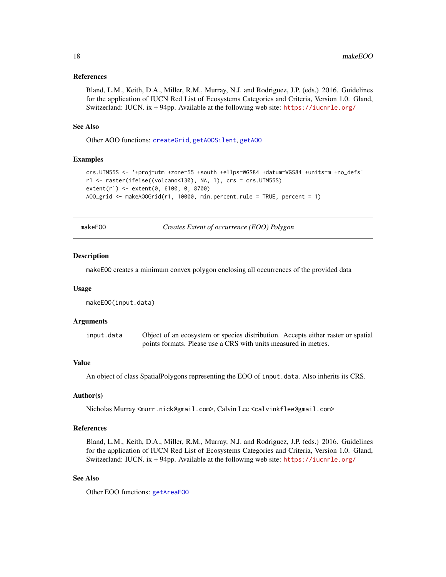#### <span id="page-17-0"></span>References

Bland, L.M., Keith, D.A., Miller, R.M., Murray, N.J. and Rodriguez, J.P. (eds.) 2016. Guidelines for the application of IUCN Red List of Ecosystems Categories and Criteria, Version 1.0. Gland, Switzerland: IUCN. ix + 94pp. Available at the following web site: <https://iucnrle.org/>

#### See Also

Other AOO functions: [createGrid](#page-1-1), [getAOOSilent](#page-5-1), [getAOO](#page-4-1)

# Examples

```
crs.UTM55S <- '+proj=utm +zone=55 +south +ellps=WGS84 +datum=WGS84 +units=m +no_defs'
r1 <- raster(ifelse((volcano<130), NA, 1), crs = crs.UTM55S)
extent(r1) <- extent(0, 6100, 0, 8700)
AOO_grid <- makeAOOGrid(r1, 10000, min.percent.rule = TRUE, percent = 1)
```
makeEOO *Creates Extent of occurrence (EOO) Polygon*

#### Description

makeEOO creates a minimum convex polygon enclosing all occurrences of the provided data

#### Usage

makeEOO(input.data)

#### Arguments

| input.data | Object of an ecosystem or species distribution. Accepts either raster or spatial |
|------------|----------------------------------------------------------------------------------|
|            | points formats. Please use a CRS with units measured in metres.                  |

# Value

An object of class SpatialPolygons representing the EOO of input.data. Also inherits its CRS.

# Author(s)

Nicholas Murray <murr.nick@gmail.com>, Calvin Lee <calvinkflee@gmail.com>

# References

Bland, L.M., Keith, D.A., Miller, R.M., Murray, N.J. and Rodriguez, J.P. (eds.) 2016. Guidelines for the application of IUCN Red List of Ecosystems Categories and Criteria, Version 1.0. Gland, Switzerland: IUCN. ix + 94pp. Available at the following web site: <https://iucnrle.org/>

#### See Also

Other EOO functions: [getAreaEOO](#page-7-2)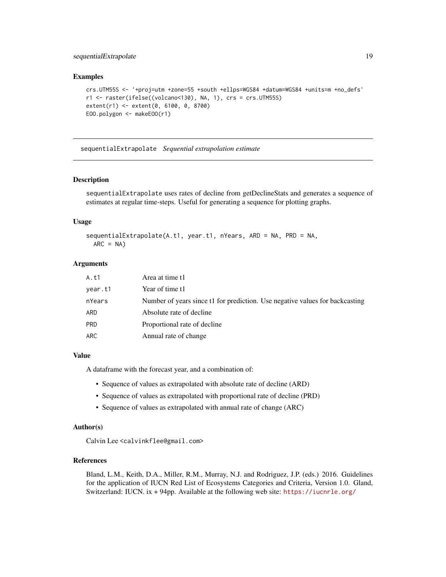# <span id="page-18-0"></span>sequentialExtrapolate 19

# Examples

```
crs.UTM55S <- '+proj=utm +zone=55 +south +ellps=WGS84 +datum=WGS84 +units=m +no_defs'
r1 <- raster(ifelse((volcano<130), NA, 1), crs = crs.UTM55S)
extent(r1) <- extent(0, 6100, 0, 8700)
EOO.polygon <- makeEOO(r1)
```
<span id="page-18-1"></span>sequentialExtrapolate *Sequential extrapolation estimate*

# Description

sequentialExtrapolate uses rates of decline from getDeclineStats and generates a sequence of estimates at regular time-steps. Useful for generating a sequence for plotting graphs.

# Usage

```
sequentialExtrapolate(A.t1, year.t1, nYears, ARD = NA, PRD = NA,
 ARC = NA)
```
# Arguments

| A.t1    | Area at time t1                                                              |
|---------|------------------------------------------------------------------------------|
| year.t1 | Year of time t1                                                              |
| nYears  | Number of years since t1 for prediction. Use negative values for backcasting |
| ARD     | Absolute rate of decline.                                                    |
| PRD     | Proportional rate of decline                                                 |
| ARC     | Annual rate of change                                                        |

#### Value

A dataframe with the forecast year, and a combination of:

- Sequence of values as extrapolated with absolute rate of decline (ARD)
- Sequence of values as extrapolated with proportional rate of decline (PRD)
- Sequence of values as extrapolated with annual rate of change (ARC)

#### Author(s)

Calvin Lee <calvinkflee@gmail.com>

# References

Bland, L.M., Keith, D.A., Miller, R.M., Murray, N.J. and Rodriguez, J.P. (eds.) 2016. Guidelines for the application of IUCN Red List of Ecosystems Categories and Criteria, Version 1.0. Gland, Switzerland: IUCN. ix + 94pp. Available at the following web site: <https://iucnrle.org/>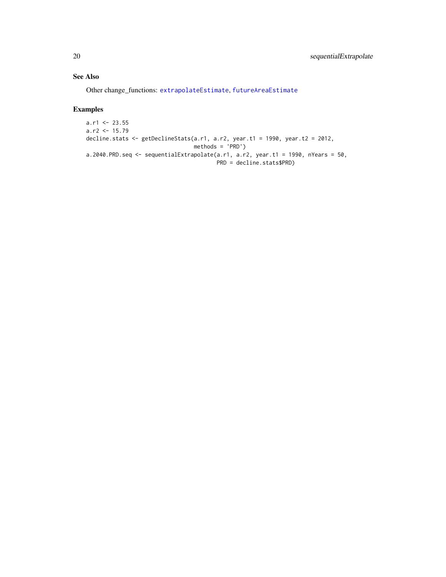# See Also

Other change\_functions: [extrapolateEstimate](#page-2-1), [futureAreaEstimate](#page-3-1)

# Examples

```
a.r1 < -23.55a.r2 < -15.79decline.stats <- getDeclineStats(a.r1, a.r2, year.t1 = 1990, year.t2 = 2012,
                                methods = 'PRD')
a.2040.PRD.seq <- sequentialExtrapolate(a.r1, a.r2, year.t1 = 1990, nYears = 50,
                                       PRD = decline.stats$PRD)
```
<span id="page-19-0"></span>